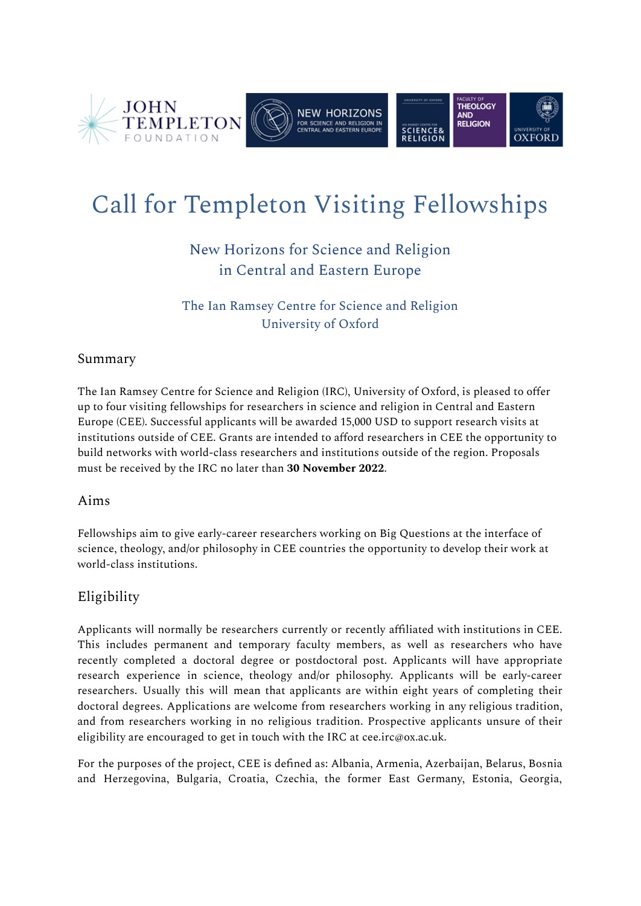

# Call for Templeton Visiting Fellowships

# New Horizons for Science and Religion in Central and Eastern Europe

The Ian Ramsey Centre for Science and Religion University of Oxford

#### Summary

The Ian Ramsey Centre for Science and Religion (IRC), University of Oxford, is pleased to offer up to four visiting fellowships for researchers in science and religion in Central and Eastern Europe (CEE). Successful applicants will be awarded 15,000 USD to support research visits at institutions outside of CEE. Grants are intended to afford researchers in CEE the opportunity to build networks with world-class researchers and institutions outside of the region. Proposals must be received by the IRC no later than **30 November 2022**.

#### Aims

Fellowships aim to give early-career researchers working on Big Questions at the interface of science, theology, and/or philosophy in CEE countries the opportunity to develop their work at world-class institutions.

# Eligibility

Applicants will normally be researchers currently or recently affiliated with institutions in CEE. This includes permanent and temporary faculty members, as well as researchers who have recently completed a doctoral degree or postdoctoral post. Applicants will have appropriate research experience in science, theology and/or philosophy. Applicants will be early-career researchers. Usually this will mean that applicants are within eight years of completing their doctoral degrees. Applications are welcome from researchers working in any religious tradition, and from researchers working in no religious tradition. Prospective applicants unsure of their eligibility are encouraged to get in touch with the IRC at cee.irc@ox.ac.uk.

For the purposes of the project, CEE is defined as: Albania, Armenia, Azerbaijan, Belarus, Bosnia and Herzegovina, Bulgaria, Croatia, Czechia, the former East Germany, Estonia, Georgia,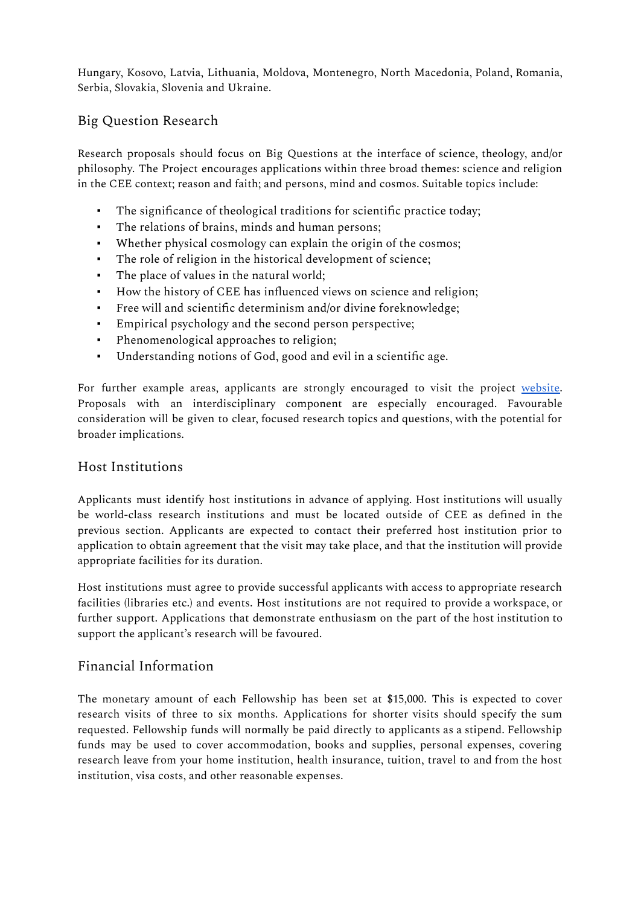Hungary, Kosovo, Latvia, Lithuania, Moldova, Montenegro, North Macedonia, Poland, Romania, Serbia, Slovakia, Slovenia and Ukraine.

# Big Question Research

Research proposals should focus on Big Questions at the interface of science, theology, and/or philosophy. The Project encourages applications within three broad themes: science and religion in the CEE context; reason and faith; and persons, mind and cosmos. Suitable topics include:

- The significance of theological traditions for scientific practice today;
- The relations of brains, minds and human persons;
- Whether physical cosmology can explain the origin of the cosmos;
- The role of religion in the historical development of science;
- The place of values in the natural world;
- How the history of CEE has influenced views on science and religion;
- Free will and scientific determinism and/or divine foreknowledge;
- Empirical psychology and the second person perspective;
- Phenomenological approaches to religion;
- Understanding notions of God, good and evil in a scientific age.

For further example areas, applicants are strongly encouraged to visit the project [website.](https://cee.ianramseycentre.ox.ac.uk/) Proposals with an interdisciplinary component are especially encouraged. Favourable consideration will be given to clear, focused research topics and questions, with the potential for broader implications.

## Host Institutions

Applicants must identify host institutions in advance of applying. Host institutions will usually be world-class research institutions and must be located outside of CEE as defined in the previous section. Applicants are expected to contact their preferred host institution prior to application to obtain agreement that the visit may take place, and that the institution will provide appropriate facilities for its duration.

Host institutions must agree to provide successful applicants with access to appropriate research facilities (libraries etc.) and events. Host institutions are not required to provide a workspace, or further support. Applications that demonstrate enthusiasm on the part of the host institution to support the applicant's research will be favoured.

## Financial Information

The monetary amount of each Fellowship has been set at \$15,000. This is expected to cover research visits of three to six months. Applications for shorter visits should specify the sum requested. Fellowship funds will normally be paid directly to applicants as a stipend. Fellowship funds may be used to cover accommodation, books and supplies, personal expenses, covering research leave from your home institution, health insurance, tuition, travel to and from the host institution, visa costs, and other reasonable expenses.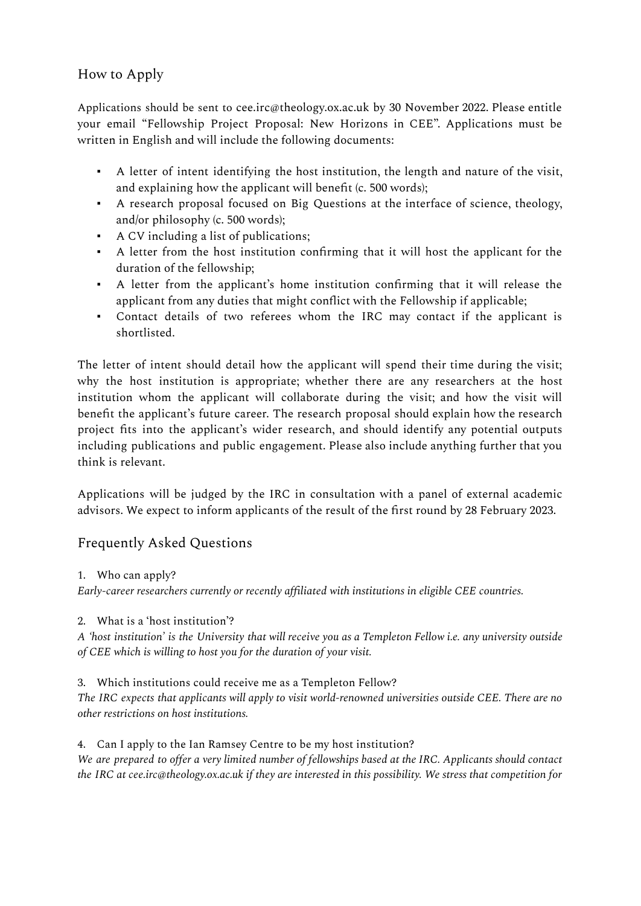# How to Apply

Applications should be sent to cee.irc@theology.ox.ac.uk by 30 November 2022. Please entitle your email "Fellowship Project Proposal: New Horizons in CEE". Applications must be written in English and will include the following documents:

- A letter of intent identifying the host institution, the length and nature of the visit, and explaining how the applicant will benefit (c. 500 words);
- A research proposal focused on Big Questions at the interface of science, theology, and/or philosophy (c. 500 words);
- A CV including a list of publications;
- A letter from the host institution confirming that it will host the applicant for the duration of the fellowship;
- A letter from the applicant's home institution confirming that it will release the applicant from any duties that might conflict with the Fellowship if applicable;
- Contact details of two referees whom the IRC may contact if the applicant is shortlisted.

The letter of intent should detail how the applicant will spend their time during the visit; why the host institution is appropriate; whether there are any researchers at the host institution whom the applicant will collaborate during the visit; and how the visit will benefit the applicant's future career. The research proposal should explain how the research project fits into the applicant's wider research, and should identify any potential outputs including publications and public engagement. Please also include anything further that you think is relevant.

Applications will be judged by the IRC in consultation with a panel of external academic advisors. We expect to inform applicants of the result of the first round by 28 February 2023.

# Frequently Asked Questions

1. Who can apply?

*Early-career researchers currently or recently affiliated with institutions in eligible CEE countries.*

2. What is a 'host institution'?

A 'host institution' is the University that will receive you as a Templeton Fellow *i.e.* any university outside *of CEE which is willing to host you for the duration of your visit.*

3. Which institutions could receive me as a Templeton Fellow?

*The IRC expects that applicants will apply to visit world-renowned universities outside CEE. There are no other restrictions on host institutions.*

4. Can I apply to the Ian Ramsey Centre to be my host institution?

We are prepared to offer a very limited number of fellowships based at the IRC. Applicants should contact *the IRC at cee.irc@theology.ox.ac.uk if they are interested in this possibility. We stress that competition for*